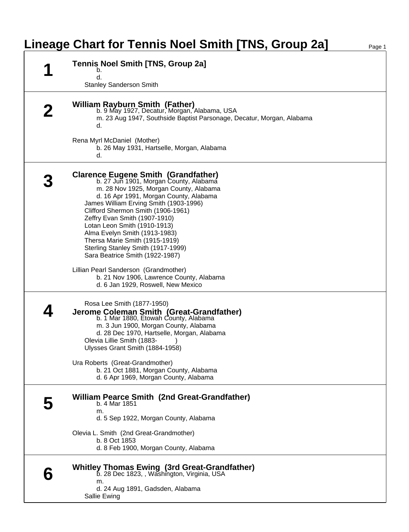## **Lineage Chart for Tennis Noel Smith [TNS, Group 2a]** Page 1

| <b>Tennis Noel Smith [TNS, Group 2a]</b><br>b.<br>d.<br><b>Stanley Sanderson Smith</b>                                                                                                                                                                                                                                                                                                                                                                                                                                                                                                           |
|--------------------------------------------------------------------------------------------------------------------------------------------------------------------------------------------------------------------------------------------------------------------------------------------------------------------------------------------------------------------------------------------------------------------------------------------------------------------------------------------------------------------------------------------------------------------------------------------------|
| <b>William Rayburn Smith (Father)</b><br>b. 9 May 1927, Decatur, Morgan, Alabama, USA<br>m. 23 Aug 1947, Southside Baptist Parsonage, Decatur, Morgan, Alabama<br>d.                                                                                                                                                                                                                                                                                                                                                                                                                             |
| Rena Myrl McDaniel (Mother)<br>b. 26 May 1931, Hartselle, Morgan, Alabama<br>d.                                                                                                                                                                                                                                                                                                                                                                                                                                                                                                                  |
| <b>Clarence Eugene Smith (Grandfather)</b><br>b. 27 Jun 1901, Morgan County, Alabama<br>m. 28 Nov 1925, Morgan County, Alabama<br>d. 16 Apr 1991, Morgan County, Alabama<br>James William Erving Smith (1903-1996)<br>Clifford Shermon Smith (1906-1961)<br>Zeffry Evan Smith (1907-1910)<br>Lotan Leon Smith (1910-1913)<br>Alma Evelyn Smith (1913-1983)<br>Thersa Marie Smith (1915-1919)<br>Sterling Stanley Smith (1917-1999)<br>Sara Beatrice Smith (1922-1987)<br>Lillian Pearl Sanderson (Grandmother)<br>b. 21 Nov 1906, Lawrence County, Alabama<br>d. 6 Jan 1929, Roswell, New Mexico |
| Rosa Lee Smith (1877-1950)<br>Jerome Coleman Smith (Great-Grandfather)<br>b. 1 Mar 1880, Etowah County, Alabama<br>m. 3 Jun 1900, Morgan County, Alabama<br>d. 28 Dec 1970, Hartselle, Morgan, Alabama<br>Olevia Lillie Smith (1883-<br>Ulysses Grant Smith (1884-1958)<br>Ura Roberts (Great-Grandmother)<br>b. 21 Oct 1881, Morgan County, Alabama<br>d. 6 Apr 1969, Morgan County, Alabama                                                                                                                                                                                                    |
| <b>William Pearce Smith (2nd Great-Grandfather)</b><br>b. 4 Mar 1851<br>m.<br>d. 5 Sep 1922, Morgan County, Alabama<br>Olevia L. Smith (2nd Great-Grandmother)<br>b. 8 Oct 1853<br>d. 8 Feb 1900, Morgan County, Alabama                                                                                                                                                                                                                                                                                                                                                                         |
| Whitley Thomas Ewing (3rd Great-Grandfather)<br>b. 28 Dec 1823, , Washington, Virginia, USA<br>m.<br>d. 24 Aug 1891, Gadsden, Alabama<br>Sallie Ewing                                                                                                                                                                                                                                                                                                                                                                                                                                            |